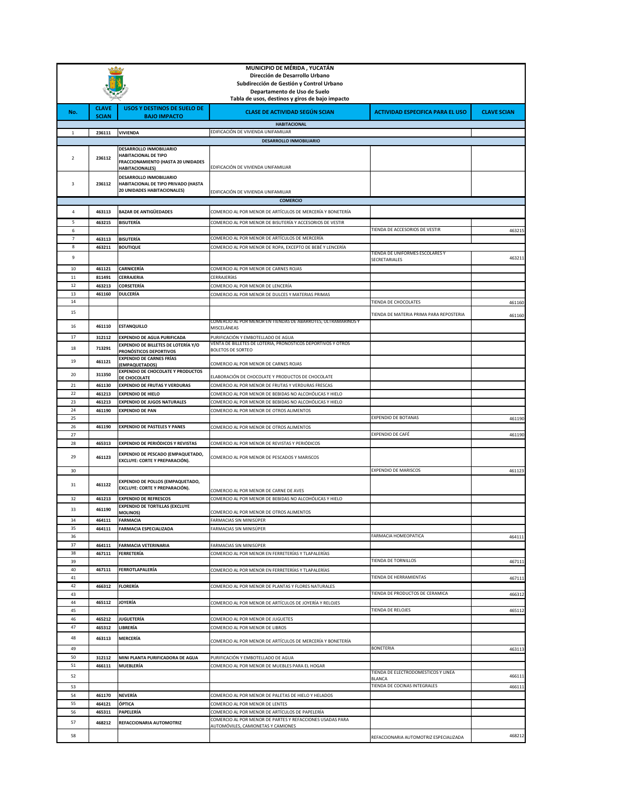| MUNICIPIO DE MÉRIDA, YUCATÁN |                                                 |                                                                                               |                                                                                                                         |                                               |                    |  |
|------------------------------|-------------------------------------------------|-----------------------------------------------------------------------------------------------|-------------------------------------------------------------------------------------------------------------------------|-----------------------------------------------|--------------------|--|
|                              |                                                 |                                                                                               | Dirección de Desarrollo Urbano                                                                                          |                                               |                    |  |
|                              |                                                 |                                                                                               | Subdirección de Gestión y Control Urbano<br>Departamento de Uso de Suelo                                                |                                               |                    |  |
|                              | Tabla de usos, destinos y giros de bajo impacto |                                                                                               |                                                                                                                         |                                               |                    |  |
| No.                          | <b>CLAVE</b><br><b>SCIAN</b>                    | <b>USOS Y DESTINOS DE SUELO DE</b><br><b>BAJO IMPACTO</b>                                     | <b>CLASE DE ACTIVIDAD SEGÚN SCIAN</b>                                                                                   | <b>ACTIVIDAD ESPECIFICA PARA EL USO</b>       | <b>CLAVE SCIAN</b> |  |
|                              |                                                 |                                                                                               | <b>HABITACIONAL</b>                                                                                                     |                                               |                    |  |
| 1                            | 236111                                          | <b>VIVIENDA</b>                                                                               | EDIFICACIÓN DE VIVIENDA UNIFAMILIAR                                                                                     |                                               |                    |  |
|                              |                                                 |                                                                                               | DESARROLLO INMOBILIARIO                                                                                                 |                                               |                    |  |
| $\overline{2}$               | 236112                                          | DESARROLLO INMOBILIARIO<br><b>HABITACIONAL DE TIPO</b><br>FRACCIONAMIENTO (HASTA 20 UNIDADES  |                                                                                                                         |                                               |                    |  |
|                              |                                                 | <b>HABITACIONALES)</b>                                                                        | EDIFICACIÓN DE VIVIENDA UNIFAMILIAR                                                                                     |                                               |                    |  |
| 3                            | 236112                                          | DESARROLLO INMOBILIARIO<br>HABITACIONAL DE TIPO PRIVADO (HASTA<br>20 UNIDADES HABITACIONALES) |                                                                                                                         |                                               |                    |  |
|                              |                                                 |                                                                                               | EDIFICACIÓN DE VIVIENDA UNIFAMILIAR<br><b>COMERCIO</b>                                                                  |                                               |                    |  |
| 4                            |                                                 |                                                                                               |                                                                                                                         |                                               |                    |  |
| 5                            | 463113<br>463215                                | <b>BAZAR DE ANTIGÜEDADES</b><br><b>BISUTERÍA</b>                                              | COMERCIO AL POR MENOR DE ARTÍCULOS DE MERCERÍA Y BONETERÍA<br>COMERCIO AL POR MENOR DE BISUTERÍA Y ACCESORIOS DE VESTIR |                                               |                    |  |
| 6                            |                                                 |                                                                                               |                                                                                                                         | TIENDA DE ACCESORIOS DE VESTIR                | 463215             |  |
| $\overline{7}$               | 463113                                          | <b>BISUTERÍA</b>                                                                              | COMERCIO AL POR MENOR DE ARTÍCULOS DE MERCERÍA                                                                          |                                               |                    |  |
| 8                            | 463211                                          | <b>BOUTIQUE</b>                                                                               | COMERCIO AL POR MENOR DE ROPA, EXCEPTO DE BEBÉ Y LENCERÍA                                                               | TIENDA DE UNIFORMES ESCOLARES Y               |                    |  |
| 9                            |                                                 |                                                                                               |                                                                                                                         | SECRETARIALES                                 | 463211             |  |
| 10                           | 461121                                          | <b>CARNICERÍA</b>                                                                             | COMERCIO AL POR MENOR DE CARNES ROJAS                                                                                   |                                               |                    |  |
| $11\,$<br>12                 | 811491                                          | CERRAJERIA                                                                                    | CERRAJERÍAS<br>COMERCIO AL POR MENOR DE LENCERÍA                                                                        |                                               |                    |  |
| 13                           | 463213<br>461160                                | CORSETERÍA<br>DULCERÍA                                                                        | COMERCIO AL POR MENOR DE DULCES Y MATERIAS PRIMAS                                                                       |                                               |                    |  |
| 14                           |                                                 |                                                                                               |                                                                                                                         | TIENDA DE CHOCOLATES                          | 461160             |  |
| 15                           |                                                 |                                                                                               |                                                                                                                         | TIENDA DE MATERIA PRIMA PARA REPOSTERIA       | 461160             |  |
| 16                           | 461110                                          | <b>ESTANQUILLO</b>                                                                            | COMERCIO AL POR MENOR EN TIENDAS DE ABARROTES, ULTRAMARINOS Y<br>MISCELÁNEAS                                            |                                               |                    |  |
| 17                           | 312112                                          | <b>EXPENDIO DE AGUA PURIFICADA</b>                                                            | PURIFICACIÓN Y EMBOTELLADO DE AGUA                                                                                      |                                               |                    |  |
| 18                           | 713291                                          | <b>EXPENDIO DE BILLETES DE LOTERÍA Y/O</b><br>PRONÓSTICOS DEPORTIVOS                          | VENTA DE BILLETES DE LOTERIA, PRONOSTICOS DEPORTIVOS Y OTROS<br><b>BOLETOS DE SORTEO</b>                                |                                               |                    |  |
| 19                           | 461121                                          | <b>EXPENDIO DE CARNES FRÍAS</b><br>(EMPAQUETADOS)                                             | COMERCIO AL POR MENOR DE CARNES ROJAS                                                                                   |                                               |                    |  |
| 20                           | 311350                                          | <b>EXPENDIO DE CHOCOLATE Y PRODUCTOS</b><br>DE CHOCOLATE                                      | ELABORACIÓN DE CHOCOLATE Y PRODUCTOS DE CHOCOLATE                                                                       |                                               |                    |  |
| 21                           | 461130                                          | <b>EXPENDIO DE FRUTAS Y VERDURAS</b>                                                          | COMERCIO AL POR MENOR DE FRUTAS Y VERDURAS FRESCAS                                                                      |                                               |                    |  |
| 22                           | 461213                                          | <b>EXPENDIO DE HIELO</b>                                                                      | COMERCIO AL POR MENOR DE BEBIDAS NO ALCOHÓLICAS Y HIELO                                                                 |                                               |                    |  |
| 23                           | 461213                                          | <b>EXPENDIO DE JUGOS NATURALES</b>                                                            | COMERCIO AL POR MENOR DE BEBIDAS NO ALCOHÓLICAS Y HIELO                                                                 |                                               |                    |  |
| 24<br>25                     | 461190                                          | <b>EXPENDIO DE PAN</b>                                                                        | COMERCIO AL POR MENOR DE OTROS ALIMENTOS                                                                                | <b>EXPENDIO DE BOTANAS</b>                    | 461190             |  |
| 26                           | 461190                                          | <b>EXPENDIO DE PASTELES Y PANES</b>                                                           | COMERCIO AL POR MENOR DE OTROS ALIMENTOS                                                                                |                                               |                    |  |
| 27                           |                                                 |                                                                                               |                                                                                                                         | EXPENDIO DE CAFÉ                              | 461190             |  |
| 28                           | 465313                                          | <b>EXPENDIO DE PERIÓDICOS Y REVISTAS</b>                                                      | COMERCIO AL POR MENOR DE REVISTAS Y PERIÓDICOS                                                                          |                                               |                    |  |
| 29                           | 461123                                          | EXPENDIO DE PESCADO (EMPAQUETADO,<br>EXCLUYE: CORTE Y PREPARACIÓN).                           | COMERCIO AL POR MENOR DE PESCADOS Y MARISCOS                                                                            |                                               |                    |  |
| 30                           |                                                 |                                                                                               |                                                                                                                         | <b>EXPENDIO DE MARISCOS</b>                   | 461123             |  |
| 31                           | 461122                                          | <b>EXPENDIO DE POLLOS (EMPAQUETADO,</b><br>EXCLUYE: CORTE Y PREPARACIÓN).                     | COMERCIO AL POR MENOR DE CARNE DE AVES                                                                                  |                                               |                    |  |
| 32                           | 461213                                          | <b>EXPENDIO DE REFRESCOS</b>                                                                  | COMERCIO AL POR MENOR DE BEBIDAS NO ALCOHÓLICAS Y HIELO                                                                 |                                               |                    |  |
| 33                           | 461190                                          | <b>EXPENDIO DE TORTILLAS (EXCLUYE</b><br>MOLINOS)                                             | COMERCIO AL POR MENOR DE OTROS ALIMENTOS                                                                                |                                               |                    |  |
| 34                           | 464111                                          | <b>FARMACIA</b>                                                                               | FARMACIAS SIN MINISUPER                                                                                                 |                                               |                    |  |
| 35                           | 464111                                          | <b>FARMACIA ESPECIALIZADA</b>                                                                 | FARMACIAS SIN MINISÚPER                                                                                                 |                                               |                    |  |
| 36<br>37                     | 464111                                          | <b>FARMACIA VETERINARIA</b>                                                                   | FARMACIAS SIN MINISÚPER                                                                                                 | FARMACIA HOMFOPATICA                          | 464111             |  |
| 38                           | 467111                                          | FERRETERÍA                                                                                    | COMERCIO AL POR MENOR EN FERRETERÍAS Y TLAPALERÍAS                                                                      |                                               |                    |  |
| 39                           |                                                 |                                                                                               |                                                                                                                         | TIENDA DE TORNILLOS                           | 467111             |  |
| 40                           | 467111                                          | FERROTLAPALERÍA                                                                               | COMERCIO AL POR MENOR EN FERRETERÍAS Y TLAPALERÍAS                                                                      | TIENDA DE HERRAMIENTAS                        |                    |  |
| 41<br>42                     | 466312                                          | <b>FLORERÍA</b>                                                                               | COMERCIO AL POR MENOR DE PLANTAS Y FLORES NATURALES                                                                     |                                               | 467111             |  |
| 43                           |                                                 |                                                                                               |                                                                                                                         | TIENDA DE PRODUCTOS DE CERAMICA               | 466312             |  |
| 44                           | 465112                                          | <b>JOYERÍA</b>                                                                                | COMERCIO AL POR MENOR DE ARTÍCULOS DE JOYERÍA Y RELOJES                                                                 |                                               |                    |  |
| 45                           |                                                 |                                                                                               |                                                                                                                         | TIENDA DE RELOJES                             | 465112             |  |
| 46<br>47                     | 465212<br>465312                                | <b>JUGUETERÍA</b><br>LIBRERÍA                                                                 | COMERCIO AL POR MENOR DE JUGUETES<br>COMERCIO AL POR MENOR DE LIBROS                                                    |                                               |                    |  |
| 48                           | 463113                                          | MERCERÍA                                                                                      |                                                                                                                         |                                               |                    |  |
| 49                           |                                                 |                                                                                               | COMERCIO AL POR MENOR DE ARTÍCULOS DE MERCERÍA Y BONETERÍA                                                              | <b>BONETERIA</b>                              | 463113             |  |
| 50                           | 312112                                          | MINI PLANTA PURIFICADORA DE AGUA                                                              | PURIFICACIÓN Y EMBOTELLADO DE AGUA                                                                                      |                                               |                    |  |
| 51                           | 466111                                          | <b>MUEBLERÍA</b>                                                                              | COMERCIO AL POR MENOR DE MUEBLES PARA EL HOGAR                                                                          |                                               |                    |  |
| 52                           |                                                 |                                                                                               |                                                                                                                         | TIENDA DE ELECTRODOMESTICOS Y LINEA<br>BLANCA | 466111             |  |
| 53                           |                                                 |                                                                                               |                                                                                                                         | TIENDA DE COCINAS INTEGRALES                  | 466111             |  |
| 54                           | 461170                                          | NEVERÍA                                                                                       | COMERCIO AL POR MENOR DE PALETAS DE HIELO Y HELADOS                                                                     |                                               |                    |  |
| 55<br>56                     | 464121<br>465311                                | ÓPTICA<br>PAPELERÍA                                                                           | COMERCIO AL POR MENOR DE LENTES<br>COMERCIO AL POR MENOR DE ARTÍCULOS DE PAPELERÍA                                      |                                               |                    |  |
| 57                           | 468212                                          | REFACCIONARIA AUTOMOTRIZ                                                                      | COMERCIO AL POR MENOR DE PARTES Y REFACCIONES USADAS PARA                                                               |                                               |                    |  |
|                              |                                                 |                                                                                               | AUTOMÓVILES, CAMIONETAS Y CAMIONES                                                                                      |                                               |                    |  |
| 58                           |                                                 |                                                                                               |                                                                                                                         | REFACCIONARIA AUTOMOTRIZ ESPECIALIZADA        | 468212             |  |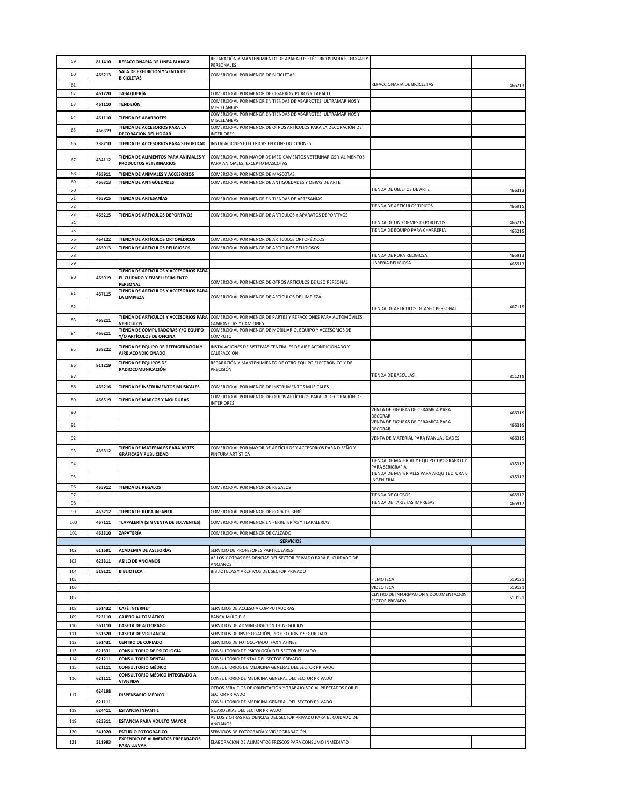| 59               | 811410           | REFACCIONARIA DE LÍNEA BLANCA                                         | REPARACIÓN Y MANTENIMIENTO DE APARATOS ELÉCTRICOS PARA EL HOGAR Y<br>PERSONALES                                                          |                                                                   |                  |
|------------------|------------------|-----------------------------------------------------------------------|------------------------------------------------------------------------------------------------------------------------------------------|-------------------------------------------------------------------|------------------|
| 60               | 465213           | SALA DE EXHIBICIÓN Y VENTA DE<br><b>BICICLETAS</b>                    | COMERCIO AL POR MENOR DE BICICLETAS                                                                                                      |                                                                   |                  |
| 61               |                  |                                                                       |                                                                                                                                          | REFACCIONARIA DE BICICLETAS                                       | 465213           |
| 62               | 461220           | <b>TABAQUERÍA</b>                                                     | COMERCIO AL POR MENOR DE CIGARROS, PUROS Y TABACO<br>COMERCIO AL POR MENOR EN TIENDAS DE ABARROTES, ULTRAMARINOS Y                       |                                                                   |                  |
| 63               | 461110           | <b>TENDEJÓN</b>                                                       | MISCELÁNEAS                                                                                                                              |                                                                   |                  |
| 64               | 461110           | <b>TIENDA DE ABARROTES</b>                                            | COMERCIO AL POR MENOR EN TIENDAS DE ABARROTES, ULTRAMARINOS Y<br>MISCEI ÁNFAS                                                            |                                                                   |                  |
| 65               | 466319           | TIENDA DE ACCESORIOS PARA LA<br>DECORACIÓN DEL HOGAR                  | COMERCIO AL POR MENOR DE OTROS ARTÍCULOS PARA LA DECORACIÓN DE<br><b>INTERIORES</b>                                                      |                                                                   |                  |
| 66               | 238210           | TIENDA DE ACCESORIOS PARA SEGURIDAD                                   | INSTALACIONES ELÉCTRICAS EN CONSTRUCCIONES                                                                                               |                                                                   |                  |
| 67               | 434112           | TIENDA DE ALIMENTOS PARA ANIMALES Y<br><b>PRODUCTOS VETERINARIOS</b>  | COMERCIO AL POR MAYOR DE MEDICAMENTOS VETERINARIOS Y ALIMENTOS<br>PARA ANIMALES, EXCEPTO MASCOTAS                                        |                                                                   |                  |
| 68               | 465911           | TIENDA DE ANIMALES Y ACCESORIOS                                       | COMERCIO AL POR MENOR DE MASCOTAS                                                                                                        |                                                                   |                  |
| 69               | 466313           | <b>TIENDA DE ANTIGÜEDADES</b>                                         | COMERCIO AL POR MENOR DE ANTIGÜEDADES Y OBRAS DE ARTE                                                                                    |                                                                   |                  |
| 70<br>71         | 465915           | <b>TIENDA DE ARTESANÍAS</b>                                           | COMERCIO AL POR MENOR EN TIENDAS DE ARTESANÍAS                                                                                           | TIENDA DE OBJETOS DE ARTE                                         | 46631            |
| 72               |                  |                                                                       |                                                                                                                                          | TIENDA DE ARTICULOS TIPICOS                                       | 465915           |
| 73               | 465215           | TIENDA DE ARTÍCULOS DEPORTIVOS                                        | COMERCIO AL POR MENOR DE ARTÍCULOS Y APARATOS DEPORTIVOS                                                                                 |                                                                   |                  |
| 74<br>75         |                  |                                                                       |                                                                                                                                          | TIENDA DE UNIFORMES DEPORTIVOS<br>TIENDA DE EQUIPO PARA CHARRERIA | 465215           |
| 76               | 464122           | TIENDA DE ARTÍCULOS ORTOPÉDICOS                                       | COMERCIO AL POR MENOR DE ARTÍCULOS ORTOPÉDICOS                                                                                           |                                                                   | 46521            |
| 77               | 465913           | TIENDA DE ARTÍCULOS RELIGIOSOS                                        | COMERCIO AL POR MENOR DE ARTÍCULOS RELIGIOSOS                                                                                            |                                                                   |                  |
| 78               |                  |                                                                       |                                                                                                                                          | TIENDA DE ROPA RELIGIOSA                                          | 46591            |
| 79               |                  | TIENDA DE ARTÍCULOS Y ACCESORIOS PARA                                 |                                                                                                                                          | LIBRERIA RELIGIOSA                                                | 46591            |
| 80               | 465919           | EL CUIDADO Y EMBELLECIMIENTO<br>PERSONAL                              | COMERCIO AL POR MENOR DE OTROS ARTÍCULOS DE USO PERSONAL                                                                                 |                                                                   |                  |
| 81               | 467115           | TIENDA DE ARTÍCULOS Y ACCESORIOS PARA<br>LA LIMPIEZA                  | COMERCIO AL POR MENOR DE ARTÍCULOS DE LIMPIEZA                                                                                           |                                                                   |                  |
| 82               |                  |                                                                       |                                                                                                                                          | TIENDA DE ARTICULOS DE ASEO PERSONAL                              | 46711            |
| 83               | 468211           |                                                                       | TIENDA DE ARTÍCULOS Y ACCESORIOS PARA COMERCIO AL POR MENOR DE PARTES Y REFACCIONES PARA AUTOMÓVILES,<br>CAMIONETAS Y CAMIONES           |                                                                   |                  |
| 84               | 466211           | <b>VEHÍCULOS</b><br>TIENDA DE COMPUTADORAS Y/O EQUIPO                 | COMERCIO AL POR MENOR DE MOBILIARIO, EQUIPO Y ACCESORIOS DE                                                                              |                                                                   |                  |
|                  |                  | Y/O ARTÍCULOS DE OFICINA<br>TIENDA DE EQUIPO DE REFRIGERACIÓN Y       | CÓMPUTO                                                                                                                                  |                                                                   |                  |
| 85               | 238222           | AIRE ACONDICIONADO<br>TIENDA DE EQUIPOS DE                            | INSTALACIONES DE SISTEMAS CENTRALES DE AIRE ACONDICIONADO Y<br>CALEFACCIÓN<br>REPARACIÓN Y MANTENIMIENTO DE OTRO EQUIPO ELECTRÓNICO Y DE |                                                                   |                  |
| 86               | 811219           | RADIOCOMUNICACIÓN                                                     | PRECISIÓN                                                                                                                                |                                                                   |                  |
| 87               |                  |                                                                       |                                                                                                                                          | TIENDA DE BASCULAS                                                | 811219           |
| 88               | 465216           | TIENDA DE INSTRUMENTOS MUSICALES                                      | COMERCIO AL POR MENOR DE INSTRUMENTOS MUSICALES                                                                                          |                                                                   |                  |
| 89               | 466319           | TIENDA DE MARCOS Y MOLDURAS                                           | COMERCIO AL POR MENOR DE OTROS ARTÍCULOS PARA LA DECORACIÓN DE<br><b>INTERIORES</b>                                                      |                                                                   |                  |
| 90               |                  |                                                                       |                                                                                                                                          | VENTA DE FIGURAS DE CERAMICA PARA                                 | 466319           |
| 91               |                  |                                                                       |                                                                                                                                          | DECORAR<br>VENTA DE FIGURAS DE CERAMICA PARA<br>DECORAR           | 466319           |
| 92               |                  |                                                                       |                                                                                                                                          | VENTA DE MATERIAL PARA MANUALIDADES                               | 466319           |
| 93               | 435312           | TIENDA DE MATERIALES PARA ARTES                                       | COMERCIO AL POR MAYOR DE ARTÍCULOS Y ACCESORIOS PARA DISEÑO Y                                                                            |                                                                   |                  |
|                  |                  | <b>GRÁFICAS Y PUBLICIDAD</b>                                          | PINTURA ARTÍSTICA                                                                                                                        | TIENDA DE MATERIAL Y EQUIPO TIPOGRAFICO Y                         |                  |
| 94               |                  |                                                                       |                                                                                                                                          | PARA SERIGRAFIA                                                   | 435312           |
| 95               |                  |                                                                       |                                                                                                                                          | TIENDA DE MATERIALES PARA ARQUITECTURA E<br>INGENIERIA            | 435312           |
| 96               | 465912           | <b>TIENDA DE REGALOS</b>                                              | COMERCIO AL POR MENOR DE REGALOS                                                                                                         |                                                                   |                  |
| 97<br>98         |                  |                                                                       |                                                                                                                                          | TIENDA DE GLOBOS<br>TIENDA DE TARJETAS IMPRESAS                   | 465912<br>465912 |
| <b>QQ</b>        | 463212           | TIENDA DE ROPA INFANTIL                                               | COMERCIO AL POR MENOR DE ROPA DE BEBÉ                                                                                                    |                                                                   |                  |
| 100              | 467111           | TLAPALERÍA (SIN VENTA DE SOLVENTES)                                   | COMERCIO AL POR MENOR EN FERRETERÍAS Y TLAPALERÍAS                                                                                       |                                                                   |                  |
| 101              | 463310           | ZAPATERÍA                                                             | COMERCIO AL POR MENOR DE CALZADO                                                                                                         |                                                                   |                  |
| <b>SERVICIOS</b> |                  |                                                                       |                                                                                                                                          |                                                                   |                  |
| 102              | 611691           | <b>ACADEMIA DE ASESORÍAS</b>                                          | SERVICIO DE PROFESORES PARTICULARES<br>ASILOS Y OTRAS RESIDENCIAS DEL SECTOR PRIVADO PARA EL CUIDADO DE                                  |                                                                   |                  |
| 103              | 623311           | <b>ASILO DE ANCIANOS</b>                                              | ANCIANOS                                                                                                                                 |                                                                   |                  |
| 104              | 519121           | <b>BIBLIOTECA</b>                                                     | BIBLIOTECAS Y ARCHIVOS DEL SECTOR PRIVADO                                                                                                |                                                                   |                  |
| 105<br>106       |                  |                                                                       |                                                                                                                                          | FILMOTECA<br>VIDEOTECA                                            | 519121<br>519121 |
| 107              |                  |                                                                       |                                                                                                                                          | CENTRO DE INFORMACION Y DOCUMENTACION                             | 519121           |
| 108              | 561432           | <b>CAFÉ INTERNET</b>                                                  | SERVICIOS DE ACCESO A COMPUTADORAS                                                                                                       | <b>SECTOR PRIVADO</b>                                             |                  |
| 109              | 522110           | <b>CAJERO AUTOMÁTICO</b>                                              | <b>BANCA MÚLTIPLE</b>                                                                                                                    |                                                                   |                  |
| 110              | 561110           | <b>CASETA DE AUTOPAGO</b>                                             | SERVICIOS DE ADMINISTRACIÓN DE NEGOCIOS                                                                                                  |                                                                   |                  |
| 111              | 561620           | <b>CASETA DE VIGILANCIA</b>                                           | SERVICIOS DE INVESTIGACIÓN, PROTECCIÓN Y SEGURIDAD                                                                                       |                                                                   |                  |
| 112<br>113       | 561431<br>621331 | <b>CENTRO DE COPIADO</b><br><b>CONSULTORIO DE PSICOLOGÍA</b>          | SERVICIOS DE FOTOCOPIADO, FAX Y AFINES<br>CONSULTORIO DE PSICOLOGÍA DEL SECTOR PRIVADO                                                   |                                                                   |                  |
| 114              | 621211           | <b>CONSULTORIO DENTAL</b>                                             | CONSULTORIO DENTAL DEL SECTOR PRIVADO                                                                                                    |                                                                   |                  |
| 115              | 621111           | <b>CONSULTORIO MÉDICO</b>                                             | CONSULTORIOS DE MEDICINA GENERAL DEL SECTOR PRIVADO                                                                                      |                                                                   |                  |
| 116              | 621111           | CONSULTORIO MÉDICO INTEGRADO A<br><b>VIVIENDA</b>                     | CONSULTORIO DE MEDICINA GENERAL DEL SECTOR PRIVADO                                                                                       |                                                                   |                  |
| 117              | 624198           | DISPENSARIO MÉDICO                                                    | OTROS SERVICIOS DE ORIENTACIÓN Y TRABAJO SOCIAL PRESTADOS POR EL<br><b>SECTOR PRIVADO</b>                                                |                                                                   |                  |
|                  | 621111           |                                                                       | CONSULTORIO DE MEDICINA GENERAL DEL SECTOR PRIVADO                                                                                       |                                                                   |                  |
| 118              | 624411           | <b>ESTANCIA INFANTIL</b>                                              | GUARDERÍAS DEL SECTOR PRIVADO<br>ASILOS Y OTRAS RESIDENCIAS DEL SECTOR PRIVADO PARA EL CUIDADO DE                                        |                                                                   |                  |
| 119              | 623311           | <b>ESTANCIA PARA ADULTO MAYOR</b>                                     | ANCIANOS                                                                                                                                 |                                                                   |                  |
| 120              | 541920           | <b>ESTUDIO FOTOGRÁFICO</b><br><b>EXPENDIO DE ALIMENTOS PREPARADOS</b> | SERVICIOS DE FOTOGRAFÍA Y VIDEOGRABACIÓN                                                                                                 |                                                                   |                  |
| 121              | 311993           | <b>PARA LLEVAR</b>                                                    | ELABORACIÓN DE ALIMENTOS FRESCOS PARA CONSUMO INMEDIATO                                                                                  |                                                                   |                  |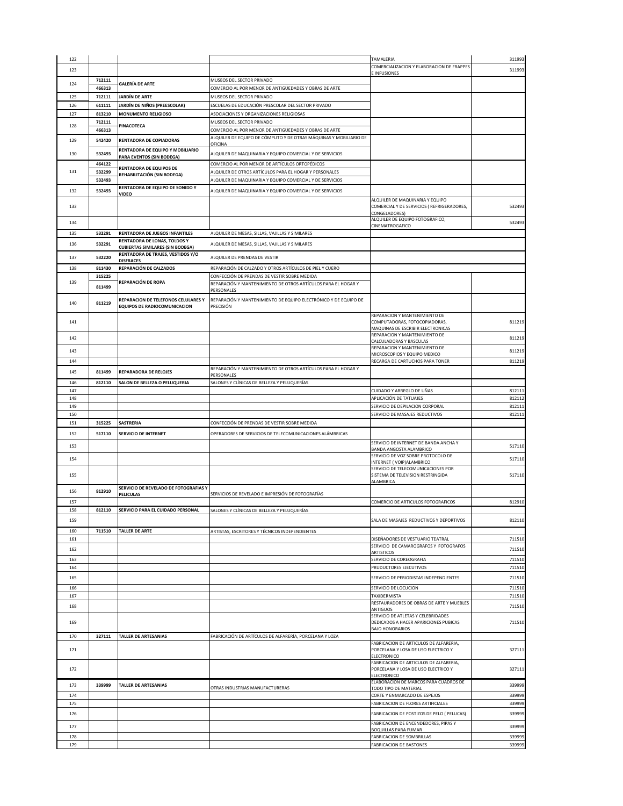| 122 |        |                                                                         |                                                                                                               | TAMALERIA                                                           | 311993 |
|-----|--------|-------------------------------------------------------------------------|---------------------------------------------------------------------------------------------------------------|---------------------------------------------------------------------|--------|
| 123 |        |                                                                         |                                                                                                               | COMERCIALIZACION Y ELABORACION DE FRAPPES                           | 311993 |
|     | 712111 |                                                                         | MUSEOS DEL SECTOR PRIVADO                                                                                     | E INFUSIONES                                                        |        |
| 124 | 466313 | GALERÍA DE ARTE                                                         | COMERCIO AL POR MENOR DE ANTIGÜEDADES Y OBRAS DE ARTE                                                         |                                                                     |        |
| 125 | 712111 | JARDÍN DE ARTE                                                          | MUSEOS DEL SECTOR PRIVADO                                                                                     |                                                                     |        |
| 126 | 611111 | JARDÍN DE NIÑOS (PREESCOLAR)                                            | ESCUELAS DE EDUCACIÓN PRESCOLAR DEL SECTOR PRIVADO                                                            |                                                                     |        |
| 127 | 813210 | <b>MONUMENTO RELIGIOSO</b>                                              | ASOCIACIONES Y ORGANIZACIONES RELIGIOSAS                                                                      |                                                                     |        |
|     | 712111 |                                                                         | MUSEOS DEL SECTOR PRIVADO                                                                                     |                                                                     |        |
| 128 | 466313 | PINACOTECA                                                              | COMERCIO AL POR MENOR DE ANTIGÜEDADES Y OBRAS DE ARTE                                                         |                                                                     |        |
| 129 | 542420 | <b>RENTADORA DE COPIADORAS</b>                                          | ALQUILER DE EQUIPO DE CÓMPUTO Y DE OTRAS MÁQUINAS Y MOBILIARIO DE                                             |                                                                     |        |
|     |        | RENTADORA DE EQUIPO Y MOBILIARIO                                        | OFICINA                                                                                                       |                                                                     |        |
| 130 | 532493 | PARA EVENTOS (SIN BODEGA)                                               | ALQUILER DE MAQUINARIA Y EQUIPO COMERCIAL Y DE SERVICIOS                                                      |                                                                     |        |
|     | 464122 | RENTADORA DE EQUIPOS DE                                                 | COMERCIO AL POR MENOR DE ARTÍCULOS ORTOPÉDICOS                                                                |                                                                     |        |
| 131 | 532299 | REHABILITACIÓN (SIN BODEGA)                                             | ALQUILER DE OTROS ARTÍCULOS PARA EL HOGAR Y PERSONALES                                                        |                                                                     |        |
|     | 532493 |                                                                         | ALQUILER DE MAQUINARIA Y EQUIPO COMERCIAL Y DE SERVICIOS                                                      |                                                                     |        |
| 132 | 532493 | RENTADORA DE EQUIPO DE SONIDO Y<br>VIDEO                                | ALQUILER DE MAQUINARIA Y EQUIPO COMERCIAL Y DE SERVICIOS                                                      |                                                                     |        |
|     |        |                                                                         |                                                                                                               | ALQUILER DE MAQUINARIA Y EQUIPO                                     |        |
| 133 |        |                                                                         |                                                                                                               | COMERCIAL Y DE SERVICIOS (REFRIGERADORES,<br>CONGELADORES)          | 532493 |
|     |        |                                                                         |                                                                                                               | ALQUILER DE EQUIPO FOTOGRAFICO,                                     |        |
| 134 |        |                                                                         |                                                                                                               | CINEMATROGAFICO                                                     | 532493 |
| 135 | 532291 | RENTADORA DE JUEGOS INFANTILES                                          | ALQUILER DE MESAS, SILLAS, VAJILLAS Y SIMILARES                                                               |                                                                     |        |
| 136 | 532291 | RENTADORA DE LONAS, TOLDOS Y<br><b>CUBIERTAS SIMILARES (SIN BODEGA)</b> | ALQUILER DE MESAS, SILLAS, VAJILLAS Y SIMILARES                                                               |                                                                     |        |
|     |        | RENTADORA DE TRAJES, VESTIDOS Y/O                                       |                                                                                                               |                                                                     |        |
| 137 | 532220 | <b>DISFRACES</b>                                                        | ALQUILER DE PRENDAS DE VESTIR                                                                                 |                                                                     |        |
| 138 | 811430 | REPARACIÓN DE CALZADOS                                                  | REPARACIÓN DE CALZADO Y OTROS ARTÍCULOS DE PIEL Y CUERO                                                       |                                                                     |        |
| 139 | 315225 | REPARACIÓN DE ROPA                                                      | CONFECCIÓN DE PRENDAS DE VESTIR SOBRE MEDIDA<br>REPARACIÓN Y MANTENIMIENTO DE OTROS ARTÍCULOS PARA EL HOGAR Y |                                                                     |        |
|     | 811499 |                                                                         | PERSONALES                                                                                                    |                                                                     |        |
|     |        | REPARACION DE TELEFONOS CELULARES Y                                     | REPARACIÓN Y MANTENIMIENTO DE EQUIPO ELECTRÓNICO Y DE EQUIPO DE                                               |                                                                     |        |
| 140 | 811219 | EQUIPOS DE RADIOCOMUNICACION                                            | PRECISIÓN                                                                                                     |                                                                     |        |
|     |        |                                                                         |                                                                                                               | REPARACION Y MANTENIMIENTO DE                                       |        |
| 141 |        |                                                                         |                                                                                                               | COMPUTADORAS, FOTOCOPIADORAS,                                       | 811219 |
|     |        |                                                                         |                                                                                                               | MAQUINAS DE ESCRIBIR ELECTRONICAS<br>REPARACION Y MANTENIMIENTO DE  |        |
| 142 |        |                                                                         |                                                                                                               | CALCULADORAS Y BASCULAS                                             | 811219 |
| 143 |        |                                                                         |                                                                                                               | REPARACION Y MANTENIMIENTO DE                                       | 811219 |
| 144 |        |                                                                         |                                                                                                               | MICROSCOPIOS Y EQUIPO MEDICO<br>RECARGA DE CARTUCHOS PARA TONER     | 811219 |
|     |        |                                                                         | REPARACIÓN Y MANTENIMIENTO DE OTROS ARTÍCULOS PARA EL HOGAR Y                                                 |                                                                     |        |
| 145 | 811499 | <b>REPARADORA DE RELOJES</b>                                            | PERSONALES                                                                                                    |                                                                     |        |
| 146 | 812110 | SALON DE BELLEZA O PELUQUERIA                                           | SALONES Y CLÍNICAS DE BELLEZA Y PELUQUERÍAS                                                                   |                                                                     |        |
| 147 |        |                                                                         |                                                                                                               | CUIDADO Y ARREGLO DE UÑAS                                           | 812111 |
| 148 |        |                                                                         |                                                                                                               | APLICACIÓN DE TATUAJES                                              | 812112 |
| 149 |        |                                                                         |                                                                                                               | SERVICIO DE DEPILACION CORPORAL                                     | 812111 |
| 150 |        |                                                                         |                                                                                                               | SERVICIO DE MASAJES REDUCTIVOS                                      | 812111 |
| 151 | 315225 | <b>SASTRERIA</b>                                                        | CONFECCIÓN DE PRENDAS DE VESTIR SOBRE MEDIDA                                                                  |                                                                     |        |
| 152 | 517110 | <b>SERVICIO DE INTERNET</b>                                             | OPERADORES DE SERVICIOS DE TELECOMUNICACIONES ALÁMBRICAS                                                      |                                                                     |        |
| 153 |        |                                                                         |                                                                                                               | SERVICIO DE INTERNET DE BANDA ANCHA Y                               | 517110 |
|     |        |                                                                         |                                                                                                               | BANDA ANGOSTA ALAMBRICO<br>SERVICIO DE VOZ SOBRE PROTOCOLO DE       |        |
| 154 |        |                                                                         |                                                                                                               | INTERNET (VOIP)ALAMBRICO                                            | 517110 |
|     |        |                                                                         |                                                                                                               | SERVICIO DE TELECOMUNICACIONES POR                                  |        |
| 155 |        |                                                                         |                                                                                                               | SISTEMA DE TELEVISION RESTRINGIDA<br><b>ALAMBRICA</b>               | 517110 |
| 156 | 812910 | SERVICIO DE REVELADO DE FOTOGRAFIAS Y                                   |                                                                                                               |                                                                     |        |
|     |        | PELICULAS                                                               | SERVICIOS DE REVELADO E IMPRESIÓN DE FOTOGRAFÍAS                                                              |                                                                     |        |
| 157 |        |                                                                         |                                                                                                               | COMERCIO DE ARTICULOS FOTOGRAFICOS                                  | 812910 |
| 158 | 812110 | SERVICIO PARA EL CUIDADO PERSONAL                                       | SALONES Y CLÍNICAS DE RELLEZA Y PELLIOLIERÍAS                                                                 |                                                                     |        |
| 159 |        |                                                                         |                                                                                                               | SALA DE MASAJES REDUCTIVOS Y DEPORTIVOS                             | 812110 |
| 160 | 711510 | <b>TALLER DE ARTE</b>                                                   | ARTISTAS, ESCRITORES Y TÉCNICOS INDEPENDIENTES                                                                |                                                                     |        |
| 161 |        |                                                                         |                                                                                                               | DISEÑADORES DE VESTUARIO TEATRAL                                    | 711510 |
| 162 |        |                                                                         |                                                                                                               | SERVICIO DE CAMAROGRAFOS Y FOTOGRAFOS                               | 711510 |
| 163 |        |                                                                         |                                                                                                               | <b>ARTISTICOS</b><br>SERVICIO DE COREOGRAFIA                        | 711510 |
| 164 |        |                                                                         |                                                                                                               | PRUDUCTORES EJECUTIVOS                                              | 711510 |
| 165 |        |                                                                         |                                                                                                               | SERVICIO DE PERIODISTAS INDEPENDIENTES                              | 711510 |
|     |        |                                                                         |                                                                                                               |                                                                     |        |
| 166 |        |                                                                         |                                                                                                               | SERVICIO DE LOCUCION                                                | 711510 |
| 167 |        |                                                                         |                                                                                                               | TAXIDERMISTA<br>RESTAURADORES DE OBRAS DE ARTE Y MUEBLES            | 711510 |
| 168 |        |                                                                         |                                                                                                               | ANTIGUOS                                                            | 711510 |
|     |        |                                                                         |                                                                                                               | SERVICIO DE ATLETAS Y CELEBRIDADES                                  |        |
| 169 |        |                                                                         |                                                                                                               | DEDICADOS A HACER APARICIONES PUBICAS<br><b>BAJO HONORARIOS</b>     | 711510 |
| 170 | 327111 | <b>TALLER DE ARTESANIAS</b>                                             | FABRICACIÓN DE ARTÍCULOS DE ALFARERÍA, PORCELANA Y LOZA                                                       |                                                                     |        |
|     |        |                                                                         |                                                                                                               | FABRICACION DE ARTICULOS DE ALFARERIA,                              |        |
| 171 |        |                                                                         |                                                                                                               | PORCELANA Y LOSA DE USO ELECTRICO Y                                 | 327111 |
|     |        |                                                                         |                                                                                                               | <b>ELECTRONICO</b><br>FABRICACION DE ARTICULOS DE ALFARERIA,        |        |
| 172 |        |                                                                         |                                                                                                               | PORCELANA Y LOSA DE USO ELECTRICO Y                                 | 327111 |
|     |        |                                                                         |                                                                                                               | <b>ELECTRONICO</b>                                                  |        |
| 173 | 339999 | <b>TALLER DE ARTESANIAS</b>                                             |                                                                                                               | ELABORACION DE MARCOS PARA CUADROS DE                               | 339999 |
| 174 |        |                                                                         | OTRAS INDUSTRIAS MANUFACTURERAS                                                                               | TODO TIPO DE MATERIAL<br>CORTE Y ENMARCADO DE ESPEJOS               | 339999 |
| 175 |        |                                                                         |                                                                                                               | FABRICACION DE FLORES ARTIFICIALES                                  | 339999 |
|     |        |                                                                         |                                                                                                               |                                                                     |        |
| 176 |        |                                                                         |                                                                                                               | FABRICACION DE POSTIZOS DE PELO ( PELUCAS)                          | 339999 |
| 177 |        |                                                                         |                                                                                                               | FABRICACION DE ENCENDEDORES, PIPAS Y<br><b>BOQUILLAS PARA FUMAR</b> | 339999 |
| 178 |        |                                                                         |                                                                                                               | FABRICACION DE SOMBRILLAS                                           | 339999 |
| 179 |        |                                                                         |                                                                                                               | <b>FABRICACION DE BASTONES</b>                                      | 339999 |
|     |        |                                                                         |                                                                                                               |                                                                     |        |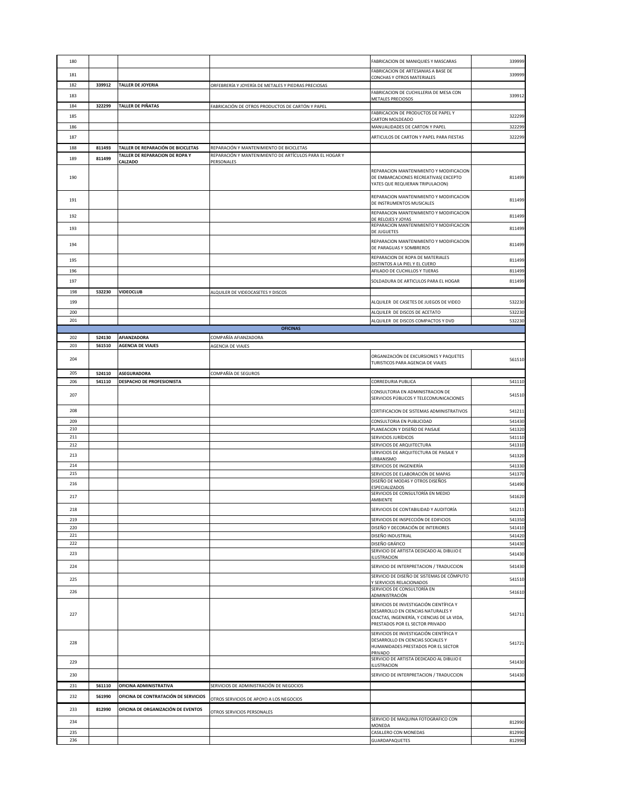| 180        |                  |                                                 |                                                                       | FABRICACION DE MANIQUIES Y MASCARAS                                                                                                                             | 339999           |
|------------|------------------|-------------------------------------------------|-----------------------------------------------------------------------|-----------------------------------------------------------------------------------------------------------------------------------------------------------------|------------------|
| 181        |                  |                                                 |                                                                       | FABRICACION DE ARTESANIAS A BASE DE<br>CONCHAS Y OTROS MATERIALES                                                                                               | 339999           |
| 182        | 339912           | TALLER DE JOYERIA                               | ORFEBRERÍA Y JOYERÍA DE METALES Y PIEDRAS PRECIOSAS                   | FABRICACION DE CUCHILLERIA DE MESA CON                                                                                                                          |                  |
| 183        |                  |                                                 |                                                                       | METALES PRECIOSOS                                                                                                                                               | 339912           |
| 184        | 322299           | TALLER DE PIÑATAS                               | FABRICACIÓN DE OTROS PRODUCTOS DE CARTÓN Y PAPEL                      | FABRICACION DE PRODUCTOS DE PAPEL Y                                                                                                                             |                  |
| 185<br>186 |                  |                                                 |                                                                       | CARTON MOLDEADO<br>MANUALIDADES DE CARTON Y PAPEL                                                                                                               | 322299<br>322299 |
| 187        |                  |                                                 |                                                                       | ARTICULOS DE CARTON Y PAPEL PARA FIESTAS                                                                                                                        | 322299           |
| 188        | 811493           | TALLER DE REPARACIÓN DE BICICLETAS              | REPARACIÓN Y MANTENIMIENTO DE BICICLETAS                              |                                                                                                                                                                 |                  |
| 189        | 811499           | TALLER DE REPARACION DE ROPA Y<br>CALZADO       | REPARACIÓN Y MANTENIMIENTO DE ARTÍCULOS PARA EL HOGAR Y<br>PERSONALES |                                                                                                                                                                 |                  |
| 190        |                  |                                                 |                                                                       | REPARACION MANTENIMIENTO Y MODIFICACION<br>DE EMBARCACIONES RECREATIVAS(EXCEPTO                                                                                 | 811499           |
| 191        |                  |                                                 |                                                                       | YATES QUE REQUIERAN TRIPULACION)<br>REPARACION MANTENIMIENTO Y MODIFICACION                                                                                     | 811499           |
|            |                  |                                                 |                                                                       | DE INSTRUMENTOS MUSICALES<br>REPARACION MANTENIMIENTO Y MODIFICACION                                                                                            |                  |
| 192        |                  |                                                 |                                                                       | DE RELOJES Y JOYAS<br>REPARACION MANTENIMIENTO Y MODIFICACION                                                                                                   | 811499           |
| 193        |                  |                                                 |                                                                       | DE JUGUETES                                                                                                                                                     | 811499           |
| 194        |                  |                                                 |                                                                       | REPARACION MANTENIMIENTO Y MODIFICACION<br>DE PARAGUAS Y SOMBREROS                                                                                              | 811499           |
| 195        |                  |                                                 |                                                                       | REPARACION DE ROPA DE MATERIALES<br>DISTINTOS A LA PIEL Y EL CUERO                                                                                              | 811499           |
| 196        |                  |                                                 |                                                                       | AFILADO DE CUCHILLOS Y TIJERAS                                                                                                                                  | 811499           |
| 197        |                  |                                                 |                                                                       | SOLDADURA DE ARTICULOS PARA EL HOGAR                                                                                                                            | 811499           |
| 198        | 532230           | <b>VIDEOCLUB</b>                                | ALQUILER DE VIDEOCASETES Y DISCOS                                     | ALQUILER DE CASETES DE JUEGOS DE VIDEO                                                                                                                          | 532230           |
| 199<br>200 |                  |                                                 |                                                                       | ALQUILER DE DISCOS DE ACETATO                                                                                                                                   | 532230           |
| 201        |                  |                                                 |                                                                       | ALQUILER DE DISCOS COMPACTOS Y DVD                                                                                                                              | 532230           |
|            |                  |                                                 | <b>OFICINAS</b>                                                       |                                                                                                                                                                 |                  |
| 202<br>203 | 524130<br>561510 | AFIANZADORA<br><b>AGENCIA DE VIAJES</b>         | COMPAÑÍA AFIANZADORA<br>AGENCIA DE VIAJES                             |                                                                                                                                                                 |                  |
|            |                  |                                                 |                                                                       | ORGANIZACIÓN DE EXCURSIONES Y PAQUETES                                                                                                                          |                  |
| 204        |                  |                                                 |                                                                       | TURISTICOS PARA AGENCIA DE VIAJES                                                                                                                               | 561510           |
| 205<br>206 | 524110<br>541110 | <b>ASEGURADORA</b><br>DESPACHO DE PROFESIONISTA | COMPAÑÍA DE SEGUROS                                                   | CORREDURIA PUBLICA                                                                                                                                              | 541110           |
|            |                  |                                                 |                                                                       | CONSULTORIA EN ADMINISTRACION DE                                                                                                                                |                  |
| 207        |                  |                                                 |                                                                       | SERVICIOS PÚBLICOS Y TELECOMUNICACIONES                                                                                                                         | 541510           |
| 208        |                  |                                                 |                                                                       | CERTIFICACION DE SISTEMAS ADMINISTRATIVOS                                                                                                                       | 541211           |
| 209<br>210 |                  |                                                 |                                                                       | CONSULTORIA EN PUBLICIDAD<br>PLANEACION Y DISEÑO DE PAISAJE                                                                                                     | 541430<br>541320 |
| 211        |                  |                                                 |                                                                       | SERVICIOS JURÍDICOS                                                                                                                                             | 541110           |
| 212        |                  |                                                 |                                                                       | SERVICIOS DE ARQUITECTURA                                                                                                                                       | 541310           |
| 213        |                  |                                                 |                                                                       | SERVICIOS DE ARQUITECTURA DE PAISAJE Y<br>URBANISMO                                                                                                             | 541320           |
| 214        |                  |                                                 |                                                                       | SERVICIOS DE INGENIERÍA                                                                                                                                         | 541330           |
| 215<br>216 |                  |                                                 |                                                                       | SERVICIOS DE ELABORACIÓN DE MAPAS<br>DISEÑO DE MODAS Y OTROS DISEÑOS                                                                                            | 541370<br>541490 |
|            |                  |                                                 |                                                                       | <b>SPECIALIZADOS</b><br>SERVICIOS DE CONSULTORÍA EN MEDIO                                                                                                       |                  |
| 217        |                  |                                                 |                                                                       | AMBIENTE                                                                                                                                                        | 541620           |
| 218        |                  |                                                 |                                                                       | SERVICIOS DE CONTABILIDAD Y AUDITORÍA                                                                                                                           | 541211           |
| 219<br>220 |                  |                                                 |                                                                       | SERVICIOS DE INSPECCIÓN DE EDIFICIOS<br>DISEÑO Y DECORACIÓN DE INTERIORES                                                                                       | 541350<br>541410 |
| 221        |                  |                                                 |                                                                       | DISEÑO INDUSTRIAL                                                                                                                                               | 541420           |
| 222        |                  |                                                 |                                                                       | DISEÑO GRÁFICO<br>SERVICIO DE ARTISTA DEDICADO AL DIBUJO E                                                                                                      | 541430           |
| 223        |                  |                                                 |                                                                       | ILUSTRACION                                                                                                                                                     | 541430           |
| 224        |                  |                                                 |                                                                       | SERVICIO DE INTERPRETACION / TRADUCCION                                                                                                                         | 541430           |
| 225        |                  |                                                 |                                                                       | SERVICIO DE DISEÑO DE SISTEMAS DE CÓMPUTO<br>Y SERVICIOS RELACIONADOS                                                                                           | 541510           |
| 226        |                  |                                                 |                                                                       | SERVICIOS DE CONSULTORÍA EN<br>ADMINISTRACIÓN                                                                                                                   | 541610           |
| 227        |                  |                                                 |                                                                       | SERVICIOS DE INVESTIGACIÓN CIENTÍFICA Y<br>DESARROLLO EN CIENCIAS NATURALES Y<br>EXACTAS, INGENIERÍA, Y CIENCIAS DE LA VIDA,<br>PRESTADOS POR EL SECTOR PRIVADO | 541711           |
| 228        |                  |                                                 |                                                                       | SERVICIOS DE INVESTIGACIÓN CIENTÍFICA Y<br>DESARROLLO EN CIENCIAS SOCIALES Y<br>HUMANIDADES PRESTADOS POR EL SECTOR<br>PRIVADO                                  | 541721           |
| 229        |                  |                                                 |                                                                       | SERVICIO DE ARTISTA DEDICADO AL DIBUJO E<br>ILUSTRACION                                                                                                         | 541430           |
| 230        |                  |                                                 |                                                                       | SERVICIO DE INTERPRETACION / TRADUCCION                                                                                                                         | 541430           |
| 231        | 561110           | OFICINA ADMINISTRATIVA                          | SERVICIOS DE ADMINISTRACIÓN DE NEGOCIOS                               |                                                                                                                                                                 |                  |
| 232        | 561990           | OFICINA DE CONTRATACIÓN DE SERVICIOS            | OTROS SERVICIOS DE APOYO A LOS NEGOCIOS                               |                                                                                                                                                                 |                  |
| 233        | 812990           | OFICINA DE ORGANIZACIÓN DE EVENTOS              |                                                                       |                                                                                                                                                                 |                  |
| 234        |                  |                                                 | OTROS SERVICIOS PERSONALES                                            | SERVICIO DE MAQUINA FOTOGRAFICO CON                                                                                                                             | 812990           |
| 235        |                  |                                                 |                                                                       | MONEDA<br>CASILLERO CON MONEDAS                                                                                                                                 | 812990           |
| 236        |                  |                                                 |                                                                       | GUARDAPAQUETES                                                                                                                                                  | 812990           |